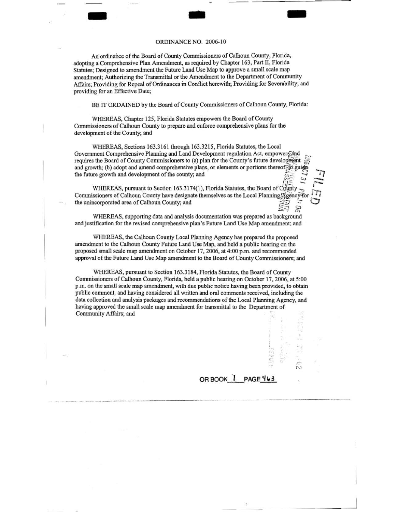## ORDINANCE NO. 2006-10

- .. -

An' ordinance of the Board of County Commissioners of Calhoun County, Florida, adopting a Comprehensive Plan Amendment, as required by Chapter 163, Part II, Florida Statutes; Designed to amendment the Future Land Use Map to approve a small scale map amendment; Authorizing the Transmittal or the Amendment to the Department of Community Affairs; Providing for Repeal of Ordinances in Conflict herewith; Providing for Severability; and providing for an Effective Date;

BE IT ORDAINED by the Board of County Commissioners of Calhoun County, Florida:

WHEREAS, Chapter 125, Florida Statutes empowers the Board of County Commissioners of Calhoun County to prepare and enforce comprehensive plans for the development of the County; and

WHEREAS, Sections 163.3161 through 163.3215, Florida Statutes, the Local Government Comprehensive Planning and Land Development regulation Act, empowers and requires the Board of County Commissioners to (a) plan for the County's future development and growth; (b) adopt and amend comprehensive plans, or elements or portions thereof $\epsilon$  guide the future growth and development of the county; and  $\tilde{\phantom{a}}$ s the Board of County Commissioners to (a) plan for the County's future development  $\frac{S}{S}$ <br>wth; (b) adopt and amend comprehensive plans, or elements or portions thereof. To guide<br>re growth and development of the county

WHEREAS, pursuant to Section 163.3174(1), Florida Statutes, the Board of County Commissioners of Calhoun County have designate themselves as the Local Planning **Agency**<sup>T</sup>for the unincorporated area of Calhoun County; and the unincorporated area of Calhoun County; and  $\begin{array}{c} \n\overline{S} \overline{S}^1 \\ \n\overline{S}^2 \rightarrow \overline{S}^1 \\ \n\overline{S}^1 \rightarrow \overline{S}^1 \n\end{array}$ 

WHEREAS, supporting data and analysis documentation was prepared as background and justification for the revised comprehensive plan's Future Land Use Map amendment; and

WHEREAS, the Calhoun County Local Planning Agency has prepared the proposed amendment to the Calhoun County Future Land Use Map, and held a public hearing on the proposed small scale map amendment on October 17, 2006, at 4:00 p.m. and recommended approval of the Future Land Use Map amendment to the Board of County Commissioners; and

WHEREAS, pursuant to Section 163.3184, Florida Statutes, the Board of County Commissioners of Calhoun County, Florida, held a public hearing on October 17, 2006, at 5:00 p.m. on the small scale map amendment, with due public notice having been provided, to obtain public comment, and having considered all written and oral comments received, including the data collection and analysis packages and recommendations of the Local Planning Agency, and having approved the small scale map amendment for transmittal to the Department of Community Affairs; and

OR BOOK<sup>L</sup> PAGE 463

 $\frac{1}{2}$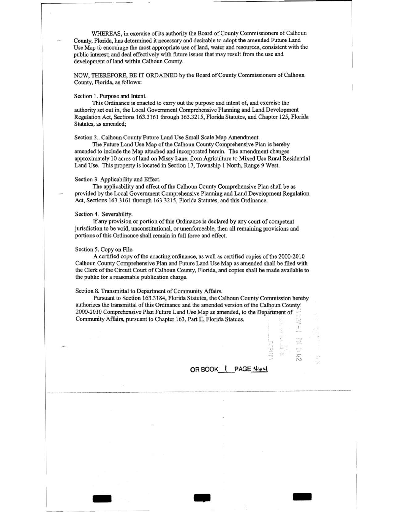WHEREAS, in exercise of its authority the Board of County Commissioners of Calhoun County, Florida, has determined it necessary and desirable to adopt the amended Future Land Use Map to encolirage the most appropriate use of land, water and resources, consistent with the public interest; and deal effectively with future issues that may result from the use and development of land within Calhoun County.

NOW, THEREFORE, BE IT ORDAINED by the Board of County Commissioners of Calhoun County, Florida, as follows:

#### Section 1. Purpose and Intent.

....------ - - - - ·· \_\_ ..

This Ordinance is enacted to carry out the purpose and intent of, and exercise the authority set out in, the Local Government Comprehensive Planning and Land Development Regulation Act, Sections 163.3161 through 163.3215, Florida Statutes, and Chapter 125, Florida Statutes, as amended;

Section 2.. Calhoun County Future Land Use Small Scale Map Amendment.

The Future Land Use Map of the Calhoun County Comprehensive Plan is hereby amended to include the Map attached and incorporated herein. The amendment changes approximately 10 acres of land on Missy Lane, from Agriculture to Mixed Use Rural Residential Land Use. This property is located in Section 17, Township 1 North, Range 9 West.

#### Section 3. Applicability and Effect.

The applicability and effect of the Calhoun County Comprehensive Plan shall be as provided by the Local Government Comprehensive Planning and Land Development Regulation Act, Sections 163.3161 through 163.3215, Florida Statutes, and this Ordinance.

### Section 4. Severability.

If any provision or portion of this Ordinance is declared by any court of competent jurisdiction to be void, unconstitutional, or unenforceable, then all remaining provisions and portions of this Ordinance shall remain in full force and effect.

### Section 5. Copy on File.

A certified copy of the enacting ordinance, as well as certified copies of the 2000-2010 Calhoun County Comprehensive Plan and Future Land Use Map as amended shall be filed with the Clerk of the Circuit Court of Calhoun County, Florida, and copies shall be made available to the public for a reasonable publication charge.

#### Section 8. Transmittal to Department of Community Affairs.

Pursuant to Section 163.3184, Florida Statutes, the Calhoun County Commission hereby authorizes the transmittal of this Ordinance and the amended version of the Calhoun County: 2000-2010 Comprehensive Plan Future Land Use Map as amended, to the Department of Community Affairs, pursuant to Chapter 163, Part II, Florida Statues.

- .. -

# OR BOOK\_I\_PAGE 464